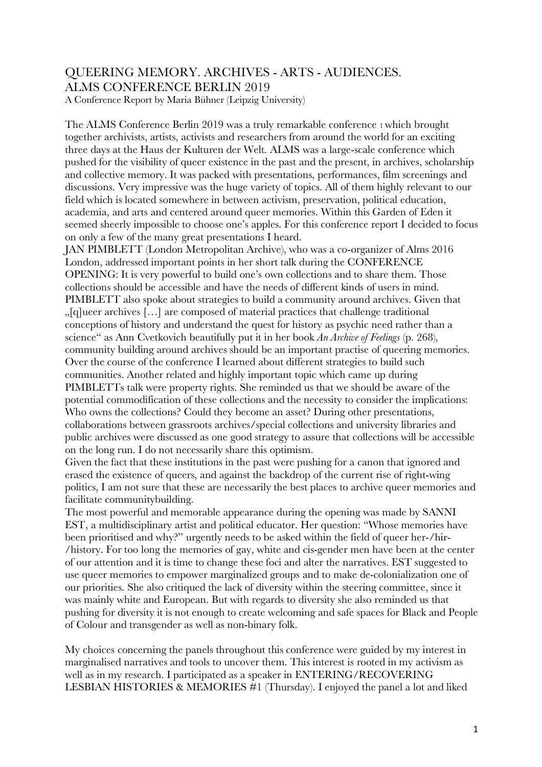## QUEERING MEMORY. ARCHIVES - ARTS - AUDIENCES. ALMS CONFERENCE BERLIN 2019

A Conference Report by Maria Bühner (Leipzig University)

The ALMS Conference Berlin 2019 was a truly remarkable conference 1 which brought together archivists, artists, activists and researchers from around the world for an exciting three days at the Haus der Kulturen der Welt. ALMS was a large-scale conference which pushed for the visibility of queer existence in the past and the present, in archives, scholarship and collective memory. It was packed with presentations, performances, film screenings and discussions. Very impressive was the huge variety of topics. All of them highly relevant to our field which is located somewhere in between activism, preservation, political education, academia, and arts and centered around queer memories. Within this Garden of Eden it seemed sheerly impossible to choose one's apples. For this conference report I decided to focus on only a few of the many great presentations I heard.

JAN PIMBLETT (London Metropolitan Archive), who was a co-organizer of Alms 2016 London, addressed important points in her short talk during the CONFERENCE OPENING: It is very powerful to build one's own collections and to share them. Those collections should be accessible and have the needs of different kinds of users in mind. PIMBLETT also spoke about strategies to build a community around archives. Given that "[q]ueer archives […] are composed of material practices that challenge traditional conceptions of history and understand the quest for history as psychic need rather than a science" as Ann Cvetkovich beautifully put it in her book *An Archive of Feelings* (p. 268), community building around archives should be an important practise of queering memories. Over the course of the conference I learned about different strategies to build such communities. Another related and highly important topic which came up during PIMBLETTs talk were property rights. She reminded us that we should be aware of the potential commodification of these collections and the necessity to consider the implications: Who owns the collections? Could they become an asset? During other presentations, collaborations between grassroots archives/special collections and university libraries and public archives were discussed as one good strategy to assure that collections will be accessible on the long run. I do not necessarily share this optimism.

Given the fact that these institutions in the past were pushing for a canon that ignored and erased the existence of queers, and against the backdrop of the current rise of right-wing politics, I am not sure that these are necessarily the best places to archive queer memories and facilitate communitybuilding.

The most powerful and memorable appearance during the opening was made by SANNI EST, a multidisciplinary artist and political educator. Her question: "Whose memories have been prioritised and why?" urgently needs to be asked within the field of queer her-/hir- /history. For too long the memories of gay, white and cis-gender men have been at the center of our attention and it is time to change these foci and alter the narratives. EST suggested to use queer memories to empower marginalized groups and to make de-colonialization one of our priorities. She also critiqued the lack of diversity within the steering committee, since it was mainly white and European. But with regards to diversity she also reminded us that pushing for diversity it is not enough to create welcoming and safe spaces for Black and People of Colour and transgender as well as non-binary folk.

My choices concerning the panels throughout this conference were guided by my interest in marginalised narratives and tools to uncover them. This interest is rooted in my activism as well as in my research. I participated as a speaker in ENTERING/RECOVERING LESBIAN HISTORIES & MEMORIES #1 (Thursday). I enjoyed the panel a lot and liked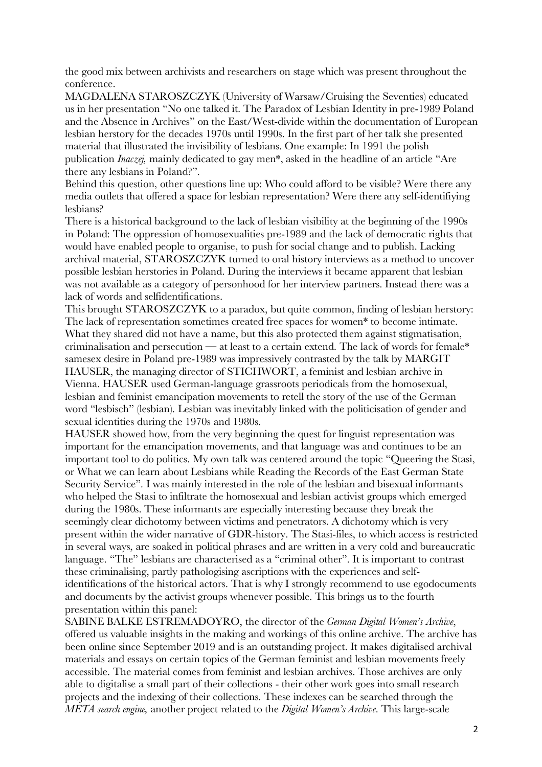the good mix between archivists and researchers on stage which was present throughout the conference.

MAGDALENA STAROSZCZYK (University of Warsaw/Cruising the Seventies) educated us in her presentation "No one talked it. The Paradox of Lesbian Identity in pre-1989 Poland and the Absence in Archives" on the East/West-divide within the documentation of European lesbian herstory for the decades 1970s until 1990s. In the first part of her talk she presented material that illustrated the invisibility of lesbians. One example: In 1991 the polish publication *Inaczej,* mainly dedicated to gay men\*, asked in the headline of an article "Are there any lesbians in Poland?".

Behind this question, other questions line up: Who could afford to be visible? Were there any media outlets that offered a space for lesbian representation? Were there any self-identifiying lesbians?

There is a historical background to the lack of lesbian visibility at the beginning of the 1990s in Poland: The oppression of homosexualities pre-1989 and the lack of democratic rights that would have enabled people to organise, to push for social change and to publish. Lacking archival material, STAROSZCZYK turned to oral history interviews as a method to uncover possible lesbian herstories in Poland. During the interviews it became apparent that lesbian was not available as a category of personhood for her interview partners. Instead there was a lack of words and selfidentifications.

This brought STAROSZCZYK to a paradox, but quite common, finding of lesbian herstory: The lack of representation sometimes created free spaces for women\* to become intimate. What they shared did not have a name, but this also protected them against stigmatisation, criminalisation and persecution — at least to a certain extend. The lack of words for female\* samesex desire in Poland pre-1989 was impressively contrasted by the talk by MARGIT HAUSER, the managing director of STICHWORT, a feminist and lesbian archive in Vienna. HAUSER used German-language grassroots periodicals from the homosexual, lesbian and feminist emancipation movements to retell the story of the use of the German word "lesbisch" (lesbian). Lesbian was inevitably linked with the politicisation of gender and sexual identities during the 1970s and 1980s.

HAUSER showed how, from the very beginning the quest for linguist representation was important for the emancipation movements, and that language was and continues to be an important tool to do politics. My own talk was centered around the topic "Queering the Stasi, or What we can learn about Lesbians while Reading the Records of the East German State Security Service". I was mainly interested in the role of the lesbian and bisexual informants who helped the Stasi to infiltrate the homosexual and lesbian activist groups which emerged during the 1980s. These informants are especially interesting because they break the seemingly clear dichotomy between victims and penetrators. A dichotomy which is very present within the wider narrative of GDR-history. The Stasi-files, to which access is restricted in several ways, are soaked in political phrases and are written in a very cold and bureaucratic language. "The" lesbians are characterised as a "criminal other". It is important to contrast these criminalising, partly pathologising ascriptions with the experiences and selfidentifications of the historical actors. That is why I strongly recommend to use egodocuments and documents by the activist groups whenever possible. This brings us to the fourth presentation within this panel:

SABINE BALKE ESTREMADOYRO, the director of the *German Digital Women's Archive*, offered us valuable insights in the making and workings of this online archive. The archive has been online since September 2019 and is an outstanding project. It makes digitalised archival materials and essays on certain topics of the German feminist and lesbian movements freely accessible. The material comes from feminist and lesbian archives. Those archives are only able to digitalise a small part of their collections - their other work goes into small research projects and the indexing of their collections. These indexes can be searched through the *META search engine,* another project related to the *Digital Women's Archive*. This large-scale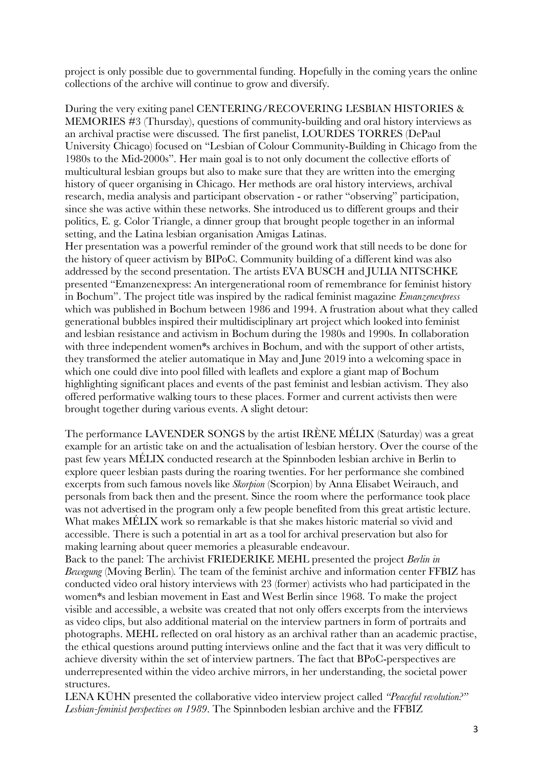project is only possible due to governmental funding. Hopefully in the coming years the online collections of the archive will continue to grow and diversify.

During the very exiting panel CENTERING/RECOVERING LESBIAN HISTORIES & MEMORIES #3 (Thursday), questions of community-building and oral history interviews as an archival practise were discussed. The first panelist, LOURDES TORRES (DePaul University Chicago) focused on "Lesbian of Colour Community-Building in Chicago from the 1980s to the Mid-2000s". Her main goal is to not only document the collective efforts of multicultural lesbian groups but also to make sure that they are written into the emerging history of queer organising in Chicago. Her methods are oral history interviews, archival research, media analysis and participant observation - or rather "observing" participation, since she was active within these networks. She introduced us to different groups and their politics, E. g. Color Triangle, a dinner group that brought people together in an informal setting, and the Latina lesbian organisation Amigas Latinas.

Her presentation was a powerful reminder of the ground work that still needs to be done for the history of queer activism by BIPoC. Community building of a different kind was also addressed by the second presentation. The artists EVA BUSCH and JULIA NITSCHKE presented "Emanzenexpress: An intergenerational room of remembrance for feminist history in Bochum". The project title was inspired by the radical feminist magazine *Emanzenexpress*  which was published in Bochum between 1986 and 1994. A frustration about what they called generational bubbles inspired their multidisciplinary art project which looked into feminist and lesbian resistance and activism in Bochum during the 1980s and 1990s. In collaboration with three independent women\*s archives in Bochum, and with the support of other artists, they transformed the atelier automatique in May and June 2019 into a welcoming space in which one could dive into pool filled with leaflets and explore a giant map of Bochum highlighting significant places and events of the past feminist and lesbian activism. They also offered performative walking tours to these places. Former and current activists then were brought together during various events. A slight detour:

The performance LAVENDER SONGS by the artist IRÈNE MÉLIX (Saturday) was a great example for an artistic take on and the actualisation of lesbian herstory. Over the course of the past few years MÉLIX conducted research at the Spinnboden lesbian archive in Berlin to explore queer lesbian pasts during the roaring twenties. For her performance she combined excerpts from such famous novels like *Skorpion* (Scorpion) by Anna Elisabet Weirauch, and personals from back then and the present. Since the room where the performance took place was not advertised in the program only a few people benefited from this great artistic lecture. What makes MÉLIX work so remarkable is that she makes historic material so vivid and accessible. There is such a potential in art as a tool for archival preservation but also for making learning about queer memories a pleasurable endeavour.

Back to the panel: The archivist FRIEDERIKE MEHL presented the project *Berlin in Bewegung* (Moving Berlin)*.* The team of the feminist archive and information center FFBIZ has conducted video oral history interviews with 23 (former) activists who had participated in the women\*s and lesbian movement in East and West Berlin since 1968. To make the project visible and accessible, a website was created that not only offers excerpts from the interviews as video clips, but also additional material on the interview partners in form of portraits and photographs. MEHL reflected on oral history as an archival rather than an academic practise, the ethical questions around putting interviews online and the fact that it was very difficult to achieve diversity within the set of interview partners. The fact that BPoC-perspectives are underrepresented within the video archive mirrors, in her understanding, the societal power structures.

LENA KÜHN presented the collaborative video interview project called *"Peaceful revolution?" Lesbian-feminist perspectives on 1989*. The Spinnboden lesbian archive and the FFBIZ